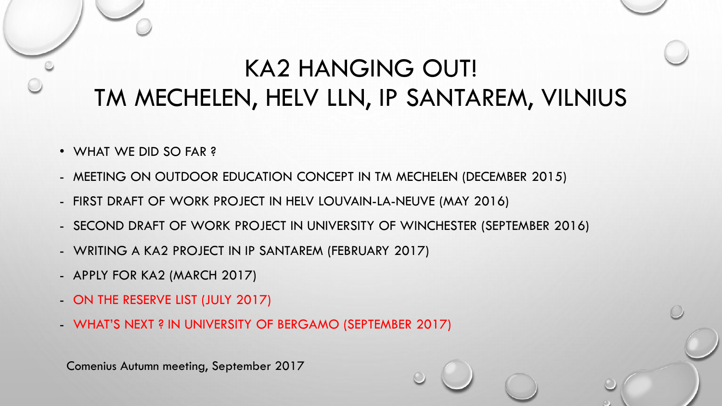- WHAT WE DID SO FAR ?
- MEETING ON OUTDOOR EDUCATION CONCEPT IN TM MECHELEN (DECEMBER 2015)
- FIRST DRAFT OF WORK PROJECT IN HELV LOUVAIN-LA-NEUVE (MAY 2016)
- SECOND DRAFT OF WORK PROJECT IN UNIVERSITY OF WINCHESTER (SEPTEMBER 2016)
- WRITING A KA2 PROJECT IN IP SANTAREM (FEBRUARY 2017)
- APPLY FOR KA2 (MARCH 2017)
- ON THE RESERVE LIST (JULY 2017)
- WHAT'S NEXT ? IN UNIVERSITY OF BERGAMO (SEPTEMBER 2017)

Comenius Autumn meeting, September 2017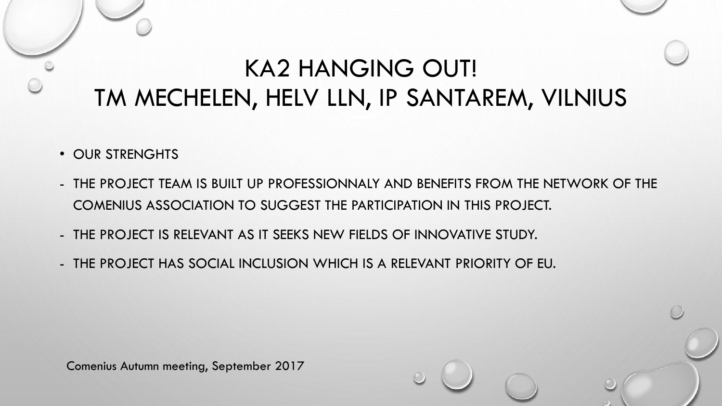- OUR STRENGHTS
- THE PROJECT TEAM IS BUILT UP PROFESSIONNALY AND BENEFITS FROM THE NETWORK OF THE COMENIUS ASSOCIATION TO SUGGEST THE PARTICIPATION IN THIS PROJECT.
- THE PROJECT IS RELEVANT AS IT SEEKS NEW FIELDS OF INNOVATIVE STUDY.
- THE PROJECT HAS SOCIAL INCLUSION WHICH IS A RELEVANT PRIORITY OF EU.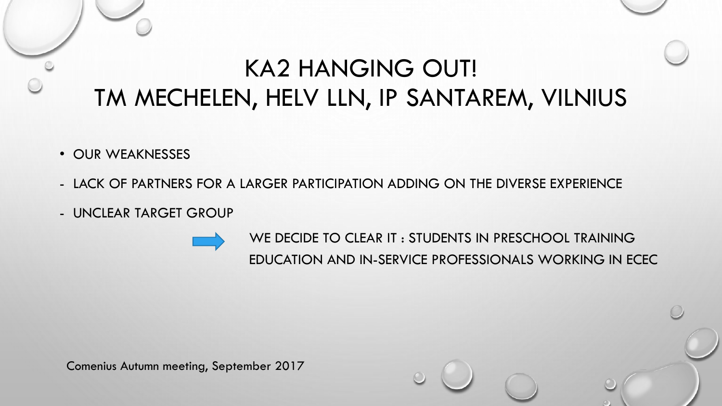- OUR WEAKNESSES
- LACK OF PARTNERS FOR A LARGER PARTICIPATION ADDING ON THE DIVERSE EXPERIENCE
- UNCLEAR TARGET GROUP

WE DECIDE TO CLEAR IT : STUDENTS IN PRESCHOOL TRAINING EDUCATION AND IN-SERVICE PROFESSIONALS WORKING IN ECEC

Comenius Autumn meeting, September 2017